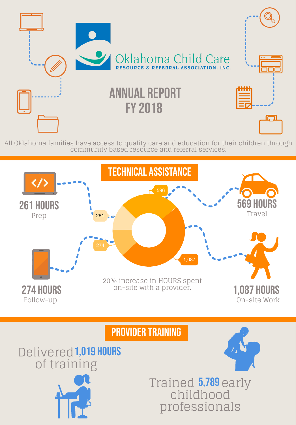

All Oklahoma families have access to quality care and education for their children through

#### community based resource and referral services.

## Trained 5,789 early childhood professionals

On-site Work

### PROVIDER TRAINING





# Delivered 1,019 hours of training